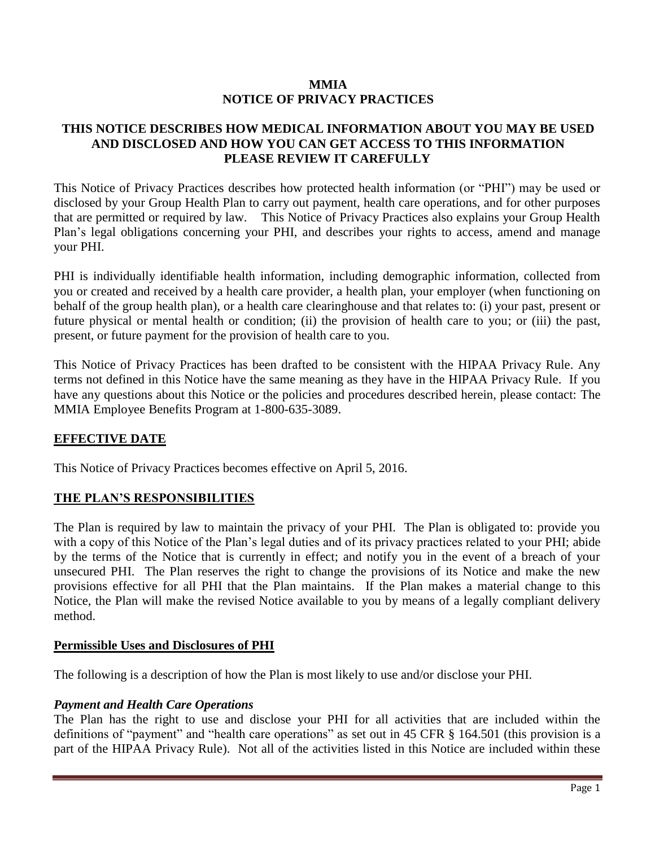### **MMIA NOTICE OF PRIVACY PRACTICES**

## **THIS NOTICE DESCRIBES HOW MEDICAL INFORMATION ABOUT YOU MAY BE USED AND DISCLOSED AND HOW YOU CAN GET ACCESS TO THIS INFORMATION PLEASE REVIEW IT CAREFULLY**

This Notice of Privacy Practices describes how protected health information (or "PHI") may be used or disclosed by your Group Health Plan to carry out payment, health care operations, and for other purposes that are permitted or required by law. This Notice of Privacy Practices also explains your Group Health Plan's legal obligations concerning your PHI, and describes your rights to access, amend and manage your PHI.

PHI is individually identifiable health information, including demographic information, collected from you or created and received by a health care provider, a health plan, your employer (when functioning on behalf of the group health plan), or a health care clearinghouse and that relates to: (i) your past, present or future physical or mental health or condition; (ii) the provision of health care to you; or (iii) the past, present, or future payment for the provision of health care to you.

This Notice of Privacy Practices has been drafted to be consistent with the HIPAA Privacy Rule. Any terms not defined in this Notice have the same meaning as they have in the HIPAA Privacy Rule. If you have any questions about this Notice or the policies and procedures described herein, please contact: The MMIA Employee Benefits Program at 1-800-635-3089.

## **EFFECTIVE DATE**

This Notice of Privacy Practices becomes effective on April 5, 2016.

## **THE PLAN'S RESPONSIBILITIES**

The Plan is required by law to maintain the privacy of your PHI. The Plan is obligated to: provide you with a copy of this Notice of the Plan's legal duties and of its privacy practices related to your PHI; abide by the terms of the Notice that is currently in effect; and notify you in the event of a breach of your unsecured PHI. The Plan reserves the right to change the provisions of its Notice and make the new provisions effective for all PHI that the Plan maintains. If the Plan makes a material change to this Notice, the Plan will make the revised Notice available to you by means of a legally compliant delivery method.

#### **Permissible Uses and Disclosures of PHI**

The following is a description of how the Plan is most likely to use and/or disclose your PHI.

#### *Payment and Health Care Operations*

The Plan has the right to use and disclose your PHI for all activities that are included within the definitions of "payment" and "health care operations" as set out in 45 CFR § 164.501 (this provision is a part of the HIPAA Privacy Rule). Not all of the activities listed in this Notice are included within these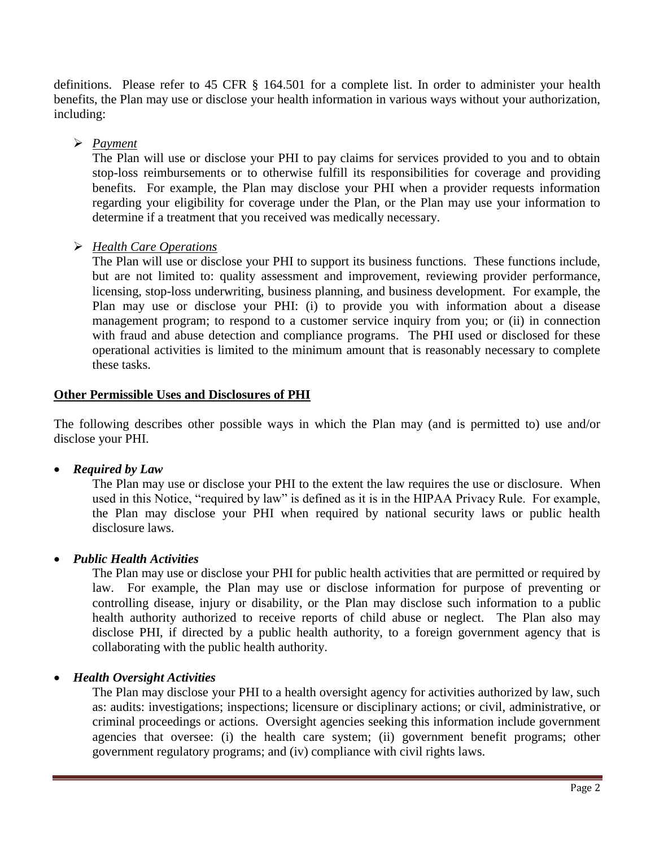definitions. Please refer to 45 CFR § 164.501 for a complete list. In order to administer your health benefits, the Plan may use or disclose your health information in various ways without your authorization, including:

# *Payment*

The Plan will use or disclose your PHI to pay claims for services provided to you and to obtain stop-loss reimbursements or to otherwise fulfill its responsibilities for coverage and providing benefits. For example, the Plan may disclose your PHI when a provider requests information regarding your eligibility for coverage under the Plan, or the Plan may use your information to determine if a treatment that you received was medically necessary.

# *Health Care Operations*

The Plan will use or disclose your PHI to support its business functions. These functions include, but are not limited to: quality assessment and improvement, reviewing provider performance, licensing, stop-loss underwriting, business planning, and business development. For example, the Plan may use or disclose your PHI: (i) to provide you with information about a disease management program; to respond to a customer service inquiry from you; or (ii) in connection with fraud and abuse detection and compliance programs. The PHI used or disclosed for these operational activities is limited to the minimum amount that is reasonably necessary to complete these tasks.

## **Other Permissible Uses and Disclosures of PHI**

The following describes other possible ways in which the Plan may (and is permitted to) use and/or disclose your PHI.

*Required by Law*

The Plan may use or disclose your PHI to the extent the law requires the use or disclosure. When used in this Notice, "required by law" is defined as it is in the HIPAA Privacy Rule. For example, the Plan may disclose your PHI when required by national security laws or public health disclosure laws.

# *Public Health Activities*

The Plan may use or disclose your PHI for public health activities that are permitted or required by law. For example, the Plan may use or disclose information for purpose of preventing or controlling disease, injury or disability, or the Plan may disclose such information to a public health authority authorized to receive reports of child abuse or neglect. The Plan also may disclose PHI, if directed by a public health authority, to a foreign government agency that is collaborating with the public health authority.

## *Health Oversight Activities*

The Plan may disclose your PHI to a health oversight agency for activities authorized by law, such as: audits: investigations; inspections; licensure or disciplinary actions; or civil, administrative, or criminal proceedings or actions. Oversight agencies seeking this information include government agencies that oversee: (i) the health care system; (ii) government benefit programs; other government regulatory programs; and (iv) compliance with civil rights laws.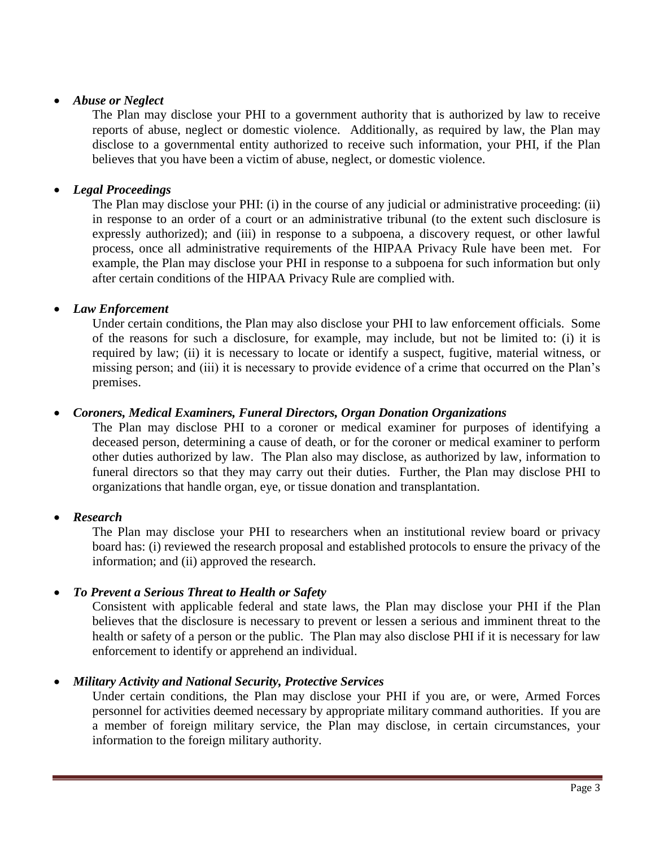### *Abuse or Neglect*

The Plan may disclose your PHI to a government authority that is authorized by law to receive reports of abuse, neglect or domestic violence. Additionally, as required by law, the Plan may disclose to a governmental entity authorized to receive such information, your PHI, if the Plan believes that you have been a victim of abuse, neglect, or domestic violence.

## *Legal Proceedings*

The Plan may disclose your PHI: (i) in the course of any judicial or administrative proceeding: (ii) in response to an order of a court or an administrative tribunal (to the extent such disclosure is expressly authorized); and (iii) in response to a subpoena, a discovery request, or other lawful process, once all administrative requirements of the HIPAA Privacy Rule have been met. For example, the Plan may disclose your PHI in response to a subpoena for such information but only after certain conditions of the HIPAA Privacy Rule are complied with.

## *Law Enforcement*

Under certain conditions, the Plan may also disclose your PHI to law enforcement officials. Some of the reasons for such a disclosure, for example, may include, but not be limited to: (i) it is required by law; (ii) it is necessary to locate or identify a suspect, fugitive, material witness, or missing person; and (iii) it is necessary to provide evidence of a crime that occurred on the Plan's premises.

## *Coroners, Medical Examiners, Funeral Directors, Organ Donation Organizations*

The Plan may disclose PHI to a coroner or medical examiner for purposes of identifying a deceased person, determining a cause of death, or for the coroner or medical examiner to perform other duties authorized by law. The Plan also may disclose, as authorized by law, information to funeral directors so that they may carry out their duties. Further, the Plan may disclose PHI to organizations that handle organ, eye, or tissue donation and transplantation.

## *Research*

The Plan may disclose your PHI to researchers when an institutional review board or privacy board has: (i) reviewed the research proposal and established protocols to ensure the privacy of the information; and (ii) approved the research.

## *To Prevent a Serious Threat to Health or Safety*

Consistent with applicable federal and state laws, the Plan may disclose your PHI if the Plan believes that the disclosure is necessary to prevent or lessen a serious and imminent threat to the health or safety of a person or the public. The Plan may also disclose PHI if it is necessary for law enforcement to identify or apprehend an individual.

## *Military Activity and National Security, Protective Services*

Under certain conditions, the Plan may disclose your PHI if you are, or were, Armed Forces personnel for activities deemed necessary by appropriate military command authorities. If you are a member of foreign military service, the Plan may disclose, in certain circumstances, your information to the foreign military authority.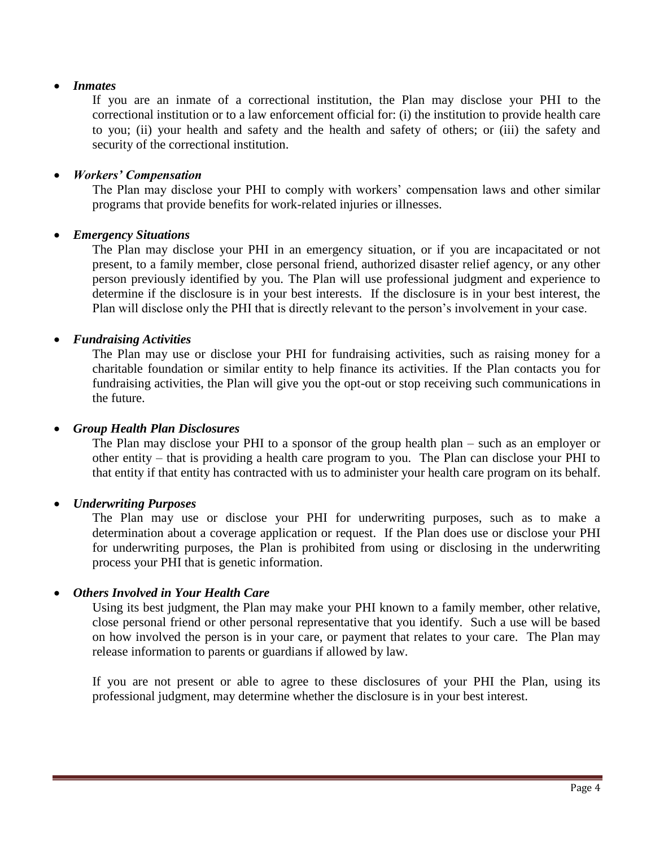## *Inmates*

If you are an inmate of a correctional institution, the Plan may disclose your PHI to the correctional institution or to a law enforcement official for: (i) the institution to provide health care to you; (ii) your health and safety and the health and safety of others; or (iii) the safety and security of the correctional institution.

### *Workers' Compensation*

The Plan may disclose your PHI to comply with workers' compensation laws and other similar programs that provide benefits for work-related injuries or illnesses.

### *Emergency Situations*

The Plan may disclose your PHI in an emergency situation, or if you are incapacitated or not present, to a family member, close personal friend, authorized disaster relief agency, or any other person previously identified by you. The Plan will use professional judgment and experience to determine if the disclosure is in your best interests. If the disclosure is in your best interest, the Plan will disclose only the PHI that is directly relevant to the person's involvement in your case.

### *Fundraising Activities*

The Plan may use or disclose your PHI for fundraising activities, such as raising money for a charitable foundation or similar entity to help finance its activities. If the Plan contacts you for fundraising activities, the Plan will give you the opt-out or stop receiving such communications in the future.

#### *Group Health Plan Disclosures*

The Plan may disclose your PHI to a sponsor of the group health plan – such as an employer or other entity – that is providing a health care program to you. The Plan can disclose your PHI to that entity if that entity has contracted with us to administer your health care program on its behalf.

#### *Underwriting Purposes*

The Plan may use or disclose your PHI for underwriting purposes, such as to make a determination about a coverage application or request. If the Plan does use or disclose your PHI for underwriting purposes, the Plan is prohibited from using or disclosing in the underwriting process your PHI that is genetic information.

#### *Others Involved in Your Health Care*

Using its best judgment, the Plan may make your PHI known to a family member, other relative, close personal friend or other personal representative that you identify. Such a use will be based on how involved the person is in your care, or payment that relates to your care. The Plan may release information to parents or guardians if allowed by law.

If you are not present or able to agree to these disclosures of your PHI the Plan, using its professional judgment, may determine whether the disclosure is in your best interest.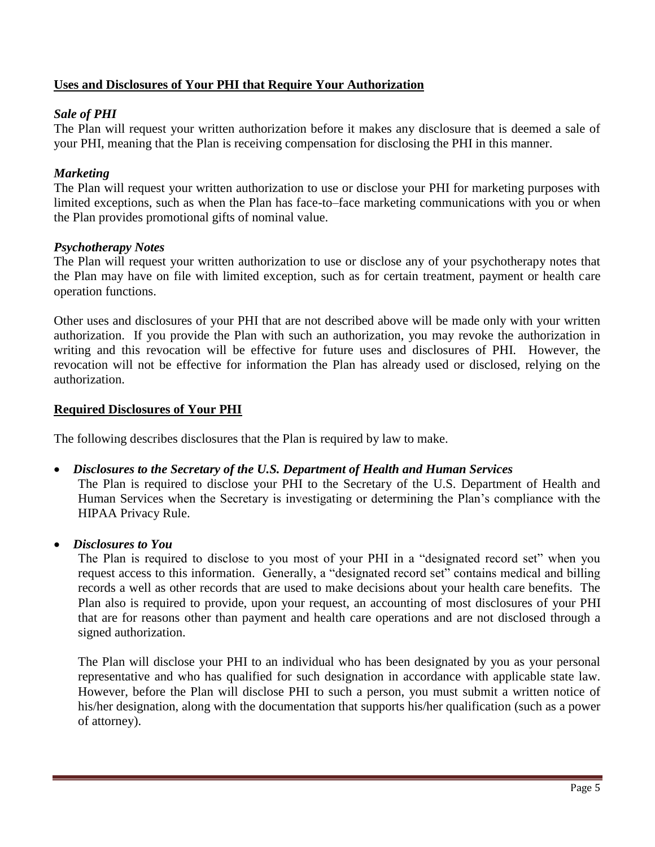## **Uses and Disclosures of Your PHI that Require Your Authorization**

## *Sale of PHI*

The Plan will request your written authorization before it makes any disclosure that is deemed a sale of your PHI, meaning that the Plan is receiving compensation for disclosing the PHI in this manner.

### *Marketing*

The Plan will request your written authorization to use or disclose your PHI for marketing purposes with limited exceptions, such as when the Plan has face-to–face marketing communications with you or when the Plan provides promotional gifts of nominal value.

### *Psychotherapy Notes*

The Plan will request your written authorization to use or disclose any of your psychotherapy notes that the Plan may have on file with limited exception, such as for certain treatment, payment or health care operation functions.

Other uses and disclosures of your PHI that are not described above will be made only with your written authorization. If you provide the Plan with such an authorization, you may revoke the authorization in writing and this revocation will be effective for future uses and disclosures of PHI. However, the revocation will not be effective for information the Plan has already used or disclosed, relying on the authorization.

### **Required Disclosures of Your PHI**

The following describes disclosures that the Plan is required by law to make.

#### *Disclosures to the Secretary of the U.S. Department of Health and Human Services*

The Plan is required to disclose your PHI to the Secretary of the U.S. Department of Health and Human Services when the Secretary is investigating or determining the Plan's compliance with the HIPAA Privacy Rule.

*Disclosures to You* 

The Plan is required to disclose to you most of your PHI in a "designated record set" when you request access to this information. Generally, a "designated record set" contains medical and billing records a well as other records that are used to make decisions about your health care benefits. The Plan also is required to provide, upon your request, an accounting of most disclosures of your PHI that are for reasons other than payment and health care operations and are not disclosed through a signed authorization.

The Plan will disclose your PHI to an individual who has been designated by you as your personal representative and who has qualified for such designation in accordance with applicable state law. However, before the Plan will disclose PHI to such a person, you must submit a written notice of his/her designation, along with the documentation that supports his/her qualification (such as a power of attorney).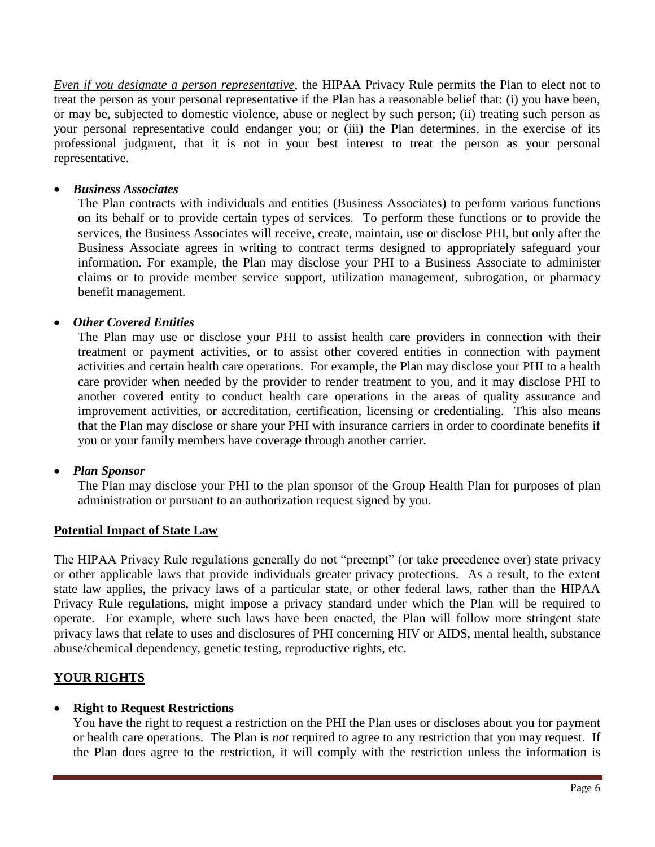*Even if you designate a person representative*, the HIPAA Privacy Rule permits the Plan to elect not to treat the person as your personal representative if the Plan has a reasonable belief that: (i) you have been, or may be, subjected to domestic violence, abuse or neglect by such person; (ii) treating such person as your personal representative could endanger you; or (iii) the Plan determines, in the exercise of its professional judgment, that it is not in your best interest to treat the person as your personal representative.

### *Business Associates*

The Plan contracts with individuals and entities (Business Associates) to perform various functions on its behalf or to provide certain types of services. To perform these functions or to provide the services, the Business Associates will receive, create, maintain, use or disclose PHI, but only after the Business Associate agrees in writing to contract terms designed to appropriately safeguard your information. For example, the Plan may disclose your PHI to a Business Associate to administer claims or to provide member service support, utilization management, subrogation, or pharmacy benefit management.

### *Other Covered Entities*

The Plan may use or disclose your PHI to assist health care providers in connection with their treatment or payment activities, or to assist other covered entities in connection with payment activities and certain health care operations. For example, the Plan may disclose your PHI to a health care provider when needed by the provider to render treatment to you, and it may disclose PHI to another covered entity to conduct health care operations in the areas of quality assurance and improvement activities, or accreditation, certification, licensing or credentialing. This also means that the Plan may disclose or share your PHI with insurance carriers in order to coordinate benefits if you or your family members have coverage through another carrier.

## *Plan Sponsor*

The Plan may disclose your PHI to the plan sponsor of the Group Health Plan for purposes of plan administration or pursuant to an authorization request signed by you.

## **Potential Impact of State Law**

The HIPAA Privacy Rule regulations generally do not "preempt" (or take precedence over) state privacy or other applicable laws that provide individuals greater privacy protections. As a result, to the extent state law applies, the privacy laws of a particular state, or other federal laws, rather than the HIPAA Privacy Rule regulations, might impose a privacy standard under which the Plan will be required to operate. For example, where such laws have been enacted, the Plan will follow more stringent state privacy laws that relate to uses and disclosures of PHI concerning HIV or AIDS, mental health, substance abuse/chemical dependency, genetic testing, reproductive rights, etc.

## **YOUR RIGHTS**

#### **Right to Request Restrictions**

You have the right to request a restriction on the PHI the Plan uses or discloses about you for payment or health care operations. The Plan is *not* required to agree to any restriction that you may request. If the Plan does agree to the restriction, it will comply with the restriction unless the information is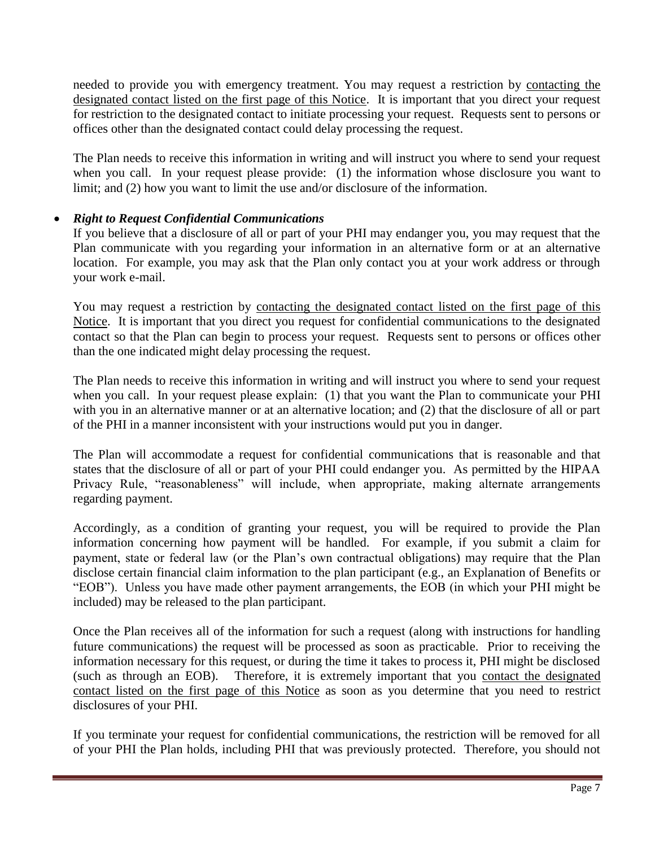needed to provide you with emergency treatment. You may request a restriction by contacting the designated contact listed on the first page of this Notice. It is important that you direct your request for restriction to the designated contact to initiate processing your request. Requests sent to persons or offices other than the designated contact could delay processing the request.

The Plan needs to receive this information in writing and will instruct you where to send your request when you call. In your request please provide: (1) the information whose disclosure you want to limit; and (2) how you want to limit the use and/or disclosure of the information.

## *Right to Request Confidential Communications*

If you believe that a disclosure of all or part of your PHI may endanger you, you may request that the Plan communicate with you regarding your information in an alternative form or at an alternative location. For example, you may ask that the Plan only contact you at your work address or through your work e-mail.

You may request a restriction by contacting the designated contact listed on the first page of this Notice. It is important that you direct you request for confidential communications to the designated contact so that the Plan can begin to process your request. Requests sent to persons or offices other than the one indicated might delay processing the request.

The Plan needs to receive this information in writing and will instruct you where to send your request when you call. In your request please explain: (1) that you want the Plan to communicate your PHI with you in an alternative manner or at an alternative location; and (2) that the disclosure of all or part of the PHI in a manner inconsistent with your instructions would put you in danger.

The Plan will accommodate a request for confidential communications that is reasonable and that states that the disclosure of all or part of your PHI could endanger you. As permitted by the HIPAA Privacy Rule, "reasonableness" will include, when appropriate, making alternate arrangements regarding payment.

Accordingly, as a condition of granting your request, you will be required to provide the Plan information concerning how payment will be handled. For example, if you submit a claim for payment, state or federal law (or the Plan's own contractual obligations) may require that the Plan disclose certain financial claim information to the plan participant (e.g., an Explanation of Benefits or "EOB"). Unless you have made other payment arrangements, the EOB (in which your PHI might be included) may be released to the plan participant.

Once the Plan receives all of the information for such a request (along with instructions for handling future communications) the request will be processed as soon as practicable. Prior to receiving the information necessary for this request, or during the time it takes to process it, PHI might be disclosed (such as through an EOB). Therefore, it is extremely important that you contact the designated contact listed on the first page of this Notice as soon as you determine that you need to restrict disclosures of your PHI.

If you terminate your request for confidential communications, the restriction will be removed for all of your PHI the Plan holds, including PHI that was previously protected. Therefore, you should not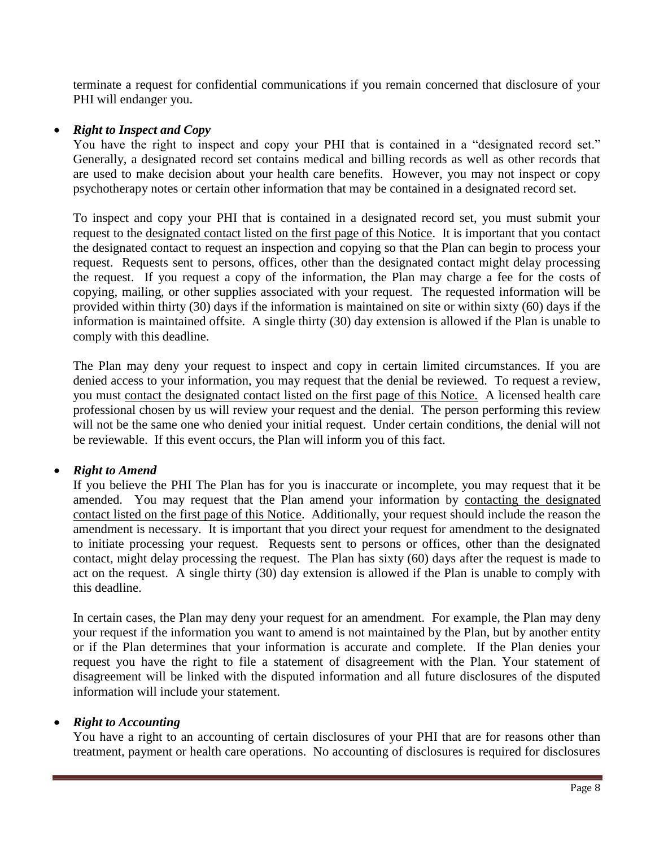terminate a request for confidential communications if you remain concerned that disclosure of your PHI will endanger you.

### *Right to Inspect and Copy*

You have the right to inspect and copy your PHI that is contained in a "designated record set." Generally, a designated record set contains medical and billing records as well as other records that are used to make decision about your health care benefits. However, you may not inspect or copy psychotherapy notes or certain other information that may be contained in a designated record set.

To inspect and copy your PHI that is contained in a designated record set, you must submit your request to the designated contact listed on the first page of this Notice. It is important that you contact the designated contact to request an inspection and copying so that the Plan can begin to process your request. Requests sent to persons, offices, other than the designated contact might delay processing the request. If you request a copy of the information, the Plan may charge a fee for the costs of copying, mailing, or other supplies associated with your request. The requested information will be provided within thirty (30) days if the information is maintained on site or within sixty (60) days if the information is maintained offsite. A single thirty (30) day extension is allowed if the Plan is unable to comply with this deadline.

The Plan may deny your request to inspect and copy in certain limited circumstances. If you are denied access to your information, you may request that the denial be reviewed. To request a review, you must contact the designated contact listed on the first page of this Notice. A licensed health care professional chosen by us will review your request and the denial. The person performing this review will not be the same one who denied your initial request. Under certain conditions, the denial will not be reviewable. If this event occurs, the Plan will inform you of this fact.

#### *Right to Amend*

If you believe the PHI The Plan has for you is inaccurate or incomplete, you may request that it be amended. You may request that the Plan amend your information by contacting the designated contact listed on the first page of this Notice. Additionally, your request should include the reason the amendment is necessary. It is important that you direct your request for amendment to the designated to initiate processing your request. Requests sent to persons or offices, other than the designated contact, might delay processing the request. The Plan has sixty (60) days after the request is made to act on the request. A single thirty (30) day extension is allowed if the Plan is unable to comply with this deadline.

In certain cases, the Plan may deny your request for an amendment. For example, the Plan may deny your request if the information you want to amend is not maintained by the Plan, but by another entity or if the Plan determines that your information is accurate and complete. If the Plan denies your request you have the right to file a statement of disagreement with the Plan. Your statement of disagreement will be linked with the disputed information and all future disclosures of the disputed information will include your statement.

#### *Right to Accounting*

You have a right to an accounting of certain disclosures of your PHI that are for reasons other than treatment, payment or health care operations. No accounting of disclosures is required for disclosures